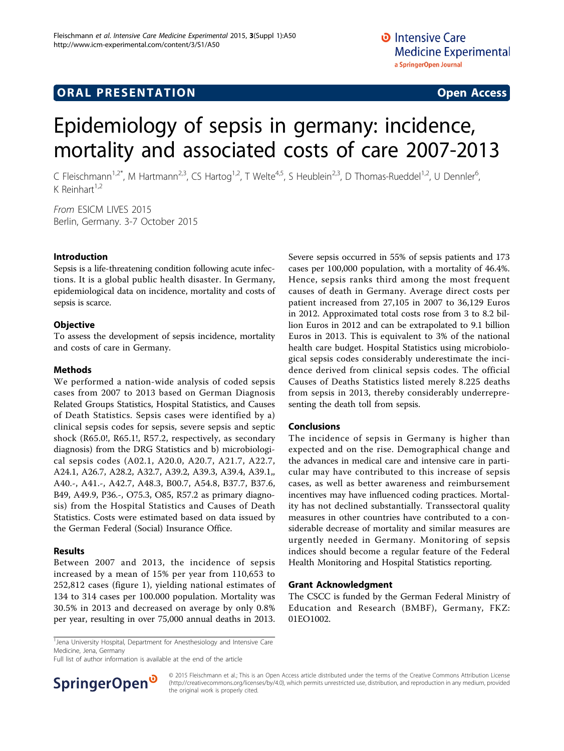# Epidemiology of sepsis in germany: incidence, mortality and associated costs of care 2007-2013

C Fleischmann<sup>1,2\*</sup>, M Hartmann<sup>2,3</sup>, CS Hartog<sup>1,2</sup>, T Welte<sup>4,5</sup>, S Heublein<sup>2,3</sup>, D Thomas-Rueddel<sup>1,2</sup>, U Dennler<sup>6</sup>, י<br>, K Reinhart $1,2$ 

From ESICM LIVES 2015 Berlin, Germany. 3-7 October 2015

#### Introduction

Sepsis is a life-threatening condition following acute infections. It is a global public health disaster. In Germany, epidemiological data on incidence, mortality and costs of sepsis is scarce.

### **Objective**

To assess the development of sepsis incidence, mortality and costs of care in Germany.

#### Methods

We performed a nation-wide analysis of coded sepsis cases from 2007 to 2013 based on German Diagnosis Related Groups Statistics, Hospital Statistics, and Causes of Death Statistics. Sepsis cases were identified by a) clinical sepsis codes for sepsis, severe sepsis and septic shock (R65.0!, R65.1!, R57.2, respectively, as secondary diagnosis) from the DRG Statistics and b) microbiological sepsis codes (A02.1, A20.0, A20.7, A21.7, A22.7, A24.1, A26.7, A28.2, A32.7, A39.2, A39.3, A39.4, A39.1,, A40.-, A41.-, A42.7, A48.3, B00.7, A54.8, B37.7, B37.6, B49, A49.9, P36.-, O75.3, O85, R57.2 as primary diagnosis) from the Hospital Statistics and Causes of Death Statistics. Costs were estimated based on data issued by the German Federal (Social) Insurance Office.

#### Results

Between 2007 and 2013, the incidence of sepsis increased by a mean of 15% per year from 110,653 to 252,812 cases (figure [1](#page-1-0)), yielding national estimates of 134 to 314 cases per 100.000 population. Mortality was 30.5% in 2013 and decreased on average by only 0.8% per year, resulting in over 75,000 annual deaths in 2013.

Severe sepsis occurred in 55% of sepsis patients and 173 cases per 100,000 population, with a mortality of 46.4%. Hence, sepsis ranks third among the most frequent causes of death in Germany. Average direct costs per patient increased from 27,105 in 2007 to 36,129 Euros in 2012. Approximated total costs rose from 3 to 8.2 billion Euros in 2012 and can be extrapolated to 9.1 billion Euros in 2013. This is equivalent to 3% of the national health care budget. Hospital Statistics using microbiological sepsis codes considerably underestimate the incidence derived from clinical sepsis codes. The official Causes of Deaths Statistics listed merely 8.225 deaths from sepsis in 2013, thereby considerably underrepresenting the death toll from sepsis.

#### Conclusions

The incidence of sepsis in Germany is higher than expected and on the rise. Demographical change and the advances in medical care and intensive care in particular may have contributed to this increase of sepsis cases, as well as better awareness and reimbursement incentives may have influenced coding practices. Mortality has not declined substantially. Transsectoral quality measures in other countries have contributed to a considerable decrease of mortality and similar measures are urgently needed in Germany. Monitoring of sepsis indices should become a regular feature of the Federal Health Monitoring and Hospital Statistics reporting.

#### Grant Acknowledgment

The CSCC is funded by the German Federal Ministry of Education and Research (BMBF), Germany, FKZ: 01EO1002.

Full list of author information is available at the end of the article



© 2015 Fleischmann et al.; This is an Open Access article distributed under the terms of the Creative Commons Attribution License [\(http://creativecommons.org/licenses/by/4.0](http://creativecommons.org/licenses/by/4.0)), which permits unrestricted use, distribution, and reproduction in any medium, provided the original work is properly cited.

<sup>&</sup>lt;sup>1</sup> Jena University Hospital, Department for Anesthesiology and Intensive Care Medicine, Jena, Germany